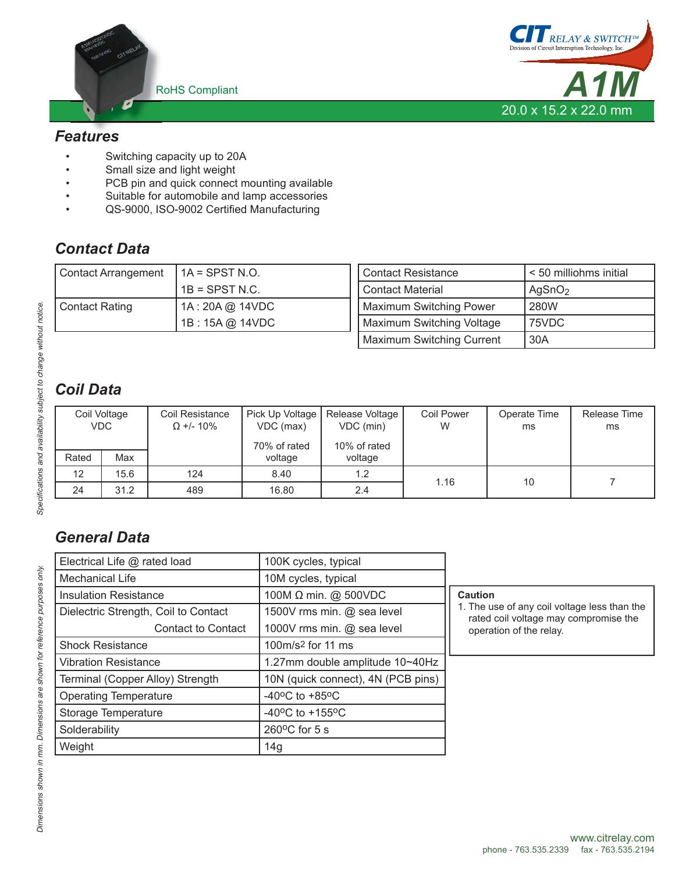



## *Features*

- Switching capacity up to 20A
- Small size and light weight
- PCB pin and quick connect mounting available
- Suitable for automobile and lamp accessories
- QS-9000, ISO-9002 Certified Manufacturing

## *Contact Data*

| <b>Contact Arrangement</b> | $IA =$ SPST N.O. | Contact Resistance               | < 50 milliohms initial |
|----------------------------|------------------|----------------------------------|------------------------|
|                            | $1B =$ SPST N.C. | <b>Contact Material</b>          | AgSnO <sub>2</sub>     |
| <b>Contact Rating</b>      | 1A: 20A @ 14VDC  | Maximum Switching Power          | 280W                   |
|                            | 1B: 15A @ 14VDC  | Maximum Switching Voltage        | 75VDC                  |
|                            |                  | <b>Maximum Switching Current</b> | 30A                    |

# *Coil Data*

| Coil Voltage<br><b>VDC</b> |      | Coil Resistance<br>$\Omega$ +/- 10% | Pick Up Voltage<br>VDC (max)<br>70% of rated | Release Voltage<br>VDC (min)<br>10% of rated | <b>Coil Power</b><br>W | Operate Time<br>ms | Release Time<br>ms |
|----------------------------|------|-------------------------------------|----------------------------------------------|----------------------------------------------|------------------------|--------------------|--------------------|
| Rated                      | Max  |                                     | voltage                                      | voltage                                      |                        |                    |                    |
| 12                         | 15.6 | 124                                 | 8.40                                         | 1.2                                          | 1.16<br>10             |                    |                    |
| 24                         | 31.2 | 489                                 | 16.80                                        | 2.4                                          |                        |                    |                    |

## *General Data*

| Electrical Life @ rated load         | 100K cycles, typical                |                                                                                       |  |  |
|--------------------------------------|-------------------------------------|---------------------------------------------------------------------------------------|--|--|
| Mechanical Life                      | 10M cycles, typical                 |                                                                                       |  |  |
| <b>Insulation Resistance</b>         | 100M Ω min. @ 500VDC                | Caution                                                                               |  |  |
| Dielectric Strength, Coil to Contact | 1500V rms min. @ sea level          | 1. The use of any coil voltage less than the<br>rated coil voltage may compromise the |  |  |
| Contact to Contact                   | 1000V rms min. @ sea level          | operation of the relay.                                                               |  |  |
| <b>Shock Resistance</b>              | 100m/s <sup>2</sup> for 11 ms       |                                                                                       |  |  |
| <b>Vibration Resistance</b>          | 1.27mm double amplitude 10~40Hz     |                                                                                       |  |  |
| Terminal (Copper Alloy) Strength     | 10N (quick connect), 4N (PCB pins)  |                                                                                       |  |  |
| <b>Operating Temperature</b>         | $-40^{\circ}$ C to $+85^{\circ}$ C  |                                                                                       |  |  |
| Storage Temperature                  | $-40^{\circ}$ C to $+155^{\circ}$ C |                                                                                       |  |  |
| Solderability                        | $260^{\circ}$ C for 5 s             |                                                                                       |  |  |
| Weight                               | 14g                                 |                                                                                       |  |  |